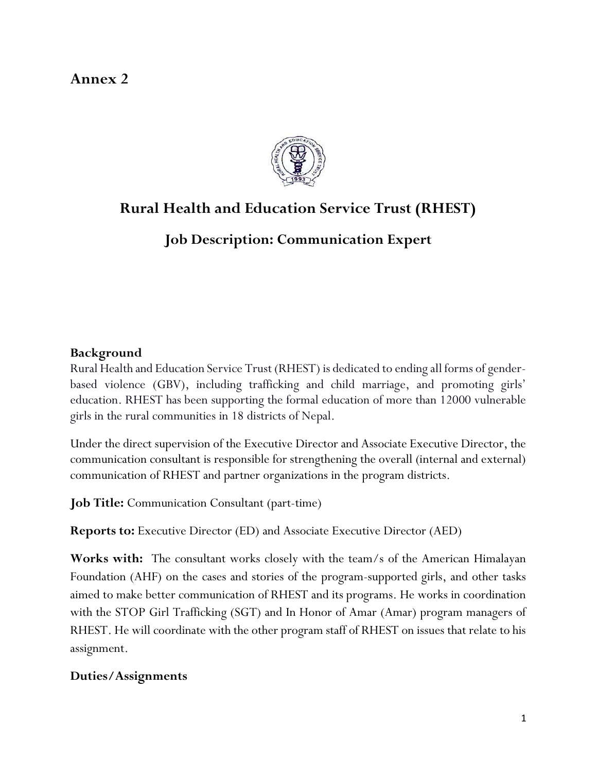## Annex 2



# Rural Health and Education Service Trust (RHEST)

Job Description: Communication Expert

#### Background

Rural Health and Education Service Trust (RHEST) is dedicated to ending all forms of genderbased violence (GBV), including trafficking and child marriage, and promoting girls' education. RHEST has been supporting the formal education of more than 12000 vulnerable girls in the rural communities in 18 districts of Nepal.

Under the direct supervision of the Executive Director and Associate Executive Director, the communication consultant is responsible for strengthening the overall (internal and external) communication of RHEST and partner organizations in the program districts.

Job Title: Communication Consultant (part-time)

Reports to: Executive Director (ED) and Associate Executive Director (AED)

Works with: The consultant works closely with the team/s of the American Himalayan Foundation (AHF) on the cases and stories of the program-supported girls, and other tasks aimed to make better communication of RHEST and its programs. He works in coordination with the STOP Girl Trafficking (SGT) and In Honor of Amar (Amar) program managers of RHEST. He will coordinate with the other program staff of RHEST on issues that relate to his assignment.

#### Duties/Assignments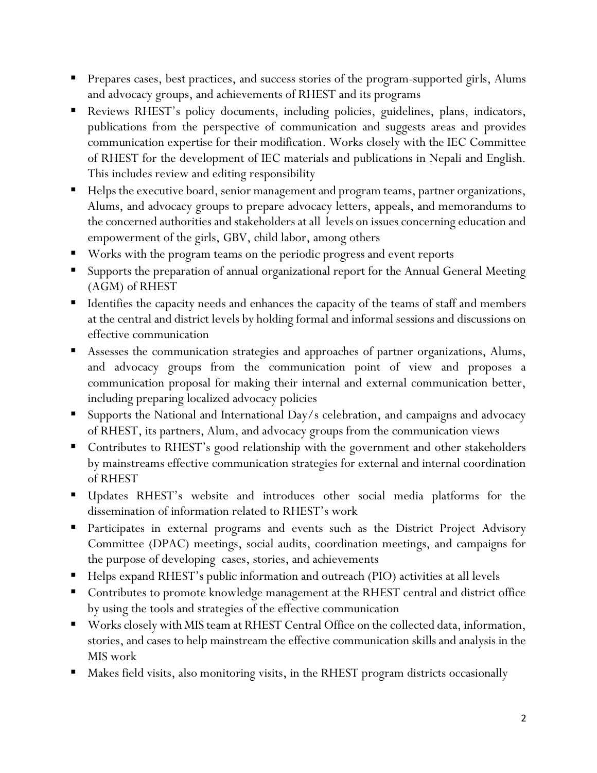- Prepares cases, best practices, and success stories of the program-supported girls, Alums and advocacy groups, and achievements of RHEST and its programs
- Reviews RHEST's policy documents, including policies, guidelines, plans, indicators, publications from the perspective of communication and suggests areas and provides communication expertise for their modification. Works closely with the IEC Committee of RHEST for the development of IEC materials and publications in Nepali and English. This includes review and editing responsibility
- Helps the executive board, senior management and program teams, partner organizations, Alums, and advocacy groups to prepare advocacy letters, appeals, and memorandums to the concerned authorities and stakeholders at all levels on issues concerning education and empowerment of the girls, GBV, child labor, among others
- Works with the program teams on the periodic progress and event reports
- Supports the preparation of annual organizational report for the Annual General Meeting (AGM) of RHEST
- Identifies the capacity needs and enhances the capacity of the teams of staff and members at the central and district levels by holding formal and informal sessions and discussions on effective communication
- Assesses the communication strategies and approaches of partner organizations, Alums, and advocacy groups from the communication point of view and proposes a communication proposal for making their internal and external communication better, including preparing localized advocacy policies
- Supports the National and International Day/s celebration, and campaigns and advocacy of RHEST, its partners, Alum, and advocacy groups from the communication views
- Contributes to RHEST's good relationship with the government and other stakeholders by mainstreams effective communication strategies for external and internal coordination of RHEST
- Updates RHEST's website and introduces other social media platforms for the dissemination of information related to RHEST's work
- **Participates in external programs and events such as the District Project Advisory** Committee (DPAC) meetings, social audits, coordination meetings, and campaigns for the purpose of developing cases, stories, and achievements
- Helps expand RHEST's public information and outreach (PIO) activities at all levels
- Contributes to promote knowledge management at the RHEST central and district office by using the tools and strategies of the effective communication
- Works closely with MIS team at RHEST Central Office on the collected data, information, stories, and cases to help mainstream the effective communication skills and analysis in the MIS work
- Makes field visits, also monitoring visits, in the RHEST program districts occasionally